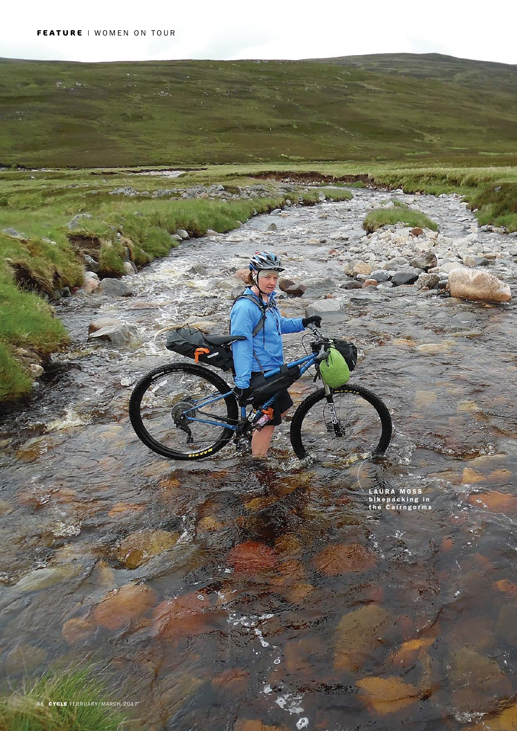$\mathcal{L}$ 

LAURA MOSS bikepacking in the Cairngorms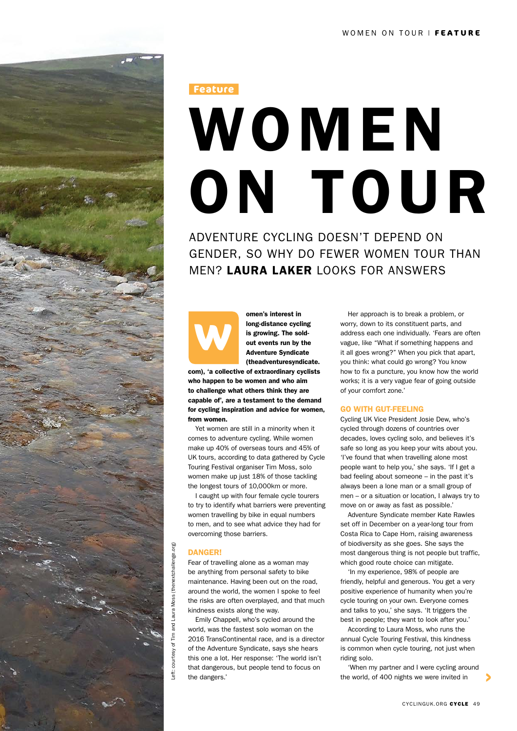

(thenextchallenge.org) Left: courtesy of Tim and Laura Moss (thenextchallenge.org) Moss ( Tim and Laura courtesy of eft:

# WOMEN ON TOUR **Feature**

ADVENTURE CYCLING DOESN'T DEPEND ON GENDER, SO WHY DO FEWER WOMEN TOUR THAN MEN? LAURA LAKER LOOKS FOR ANSWERS

omen's interest in long-distance cycling is growing. The soldout events run by the Adventure Syndicate (theadventuresyndicate. **W**

com), 'a collective of extraordinary cyclists who happen to be women and who aim to challenge what others think they are capable of', are a testament to the demand for cycling inspiration and advice for women, from women.

Yet women are still in a minority when it comes to adventure cycling. While women make up 40% of overseas tours and 45% of UK tours, according to data gathered by Cycle Touring Festival organiser Tim Moss, solo women make up just 18% of those tackling the longest tours of 10,000km or more.

I caught up with four female cycle tourers to try to identify what barriers were preventing women travelling by bike in equal numbers to men, and to see what advice they had for overcoming those barriers.

# **DANGER!**

Fear of travelling alone as a woman may be anything from personal safety to bike maintenance. Having been out on the road, around the world, the women I spoke to feel the risks are often overplayed, and that much kindness exists along the way.

Emily Chappell, who's cycled around the world, was the fastest solo woman on the 2016 TransContinental race, and is a director of the Adventure Syndicate, says she hears this one a lot. Her response: 'The world isn't that dangerous, but people tend to focus on the dangers.'

Her approach is to break a problem, or worry, down to its constituent parts, and address each one individually. 'Fears are often vague, like "What if something happens and it all goes wrong?" When you pick that apart, you think: what could go wrong? You know how to fix a puncture, you know how the world works; it is a very vague fear of going outside of your comfort zone.'

# GO WITH GUT-FEELING

Cycling UK Vice President Josie Dew, who's cycled through dozens of countries over decades, loves cycling solo, and believes it's safe so long as you keep your wits about you. 'I've found that when travelling alone most people want to help you,' she says. 'If I get a bad feeling about someone – in the past it's always been a lone man or a small group of men – or a situation or location, I always try to move on or away as fast as possible.'

Adventure Syndicate member Kate Rawles set off in December on a year-long tour from Costa Rica to Cape Horn, raising awareness of biodiversity as she goes. She says the most dangerous thing is not people but traffic, which good route choice can mitigate.

'In my experience, 98% of people are friendly, helpful and generous. You get a very positive experience of humanity when you're cycle touring on your own. Everyone comes and talks to you,' she says. 'It triggers the best in people; they want to look after you.'

According to Laura Moss, who runs the annual Cycle Touring Festival, this kindness is common when cycle touring, not just when riding solo.

'When my partner and I were cycling around the world, of 400 nights we were invited in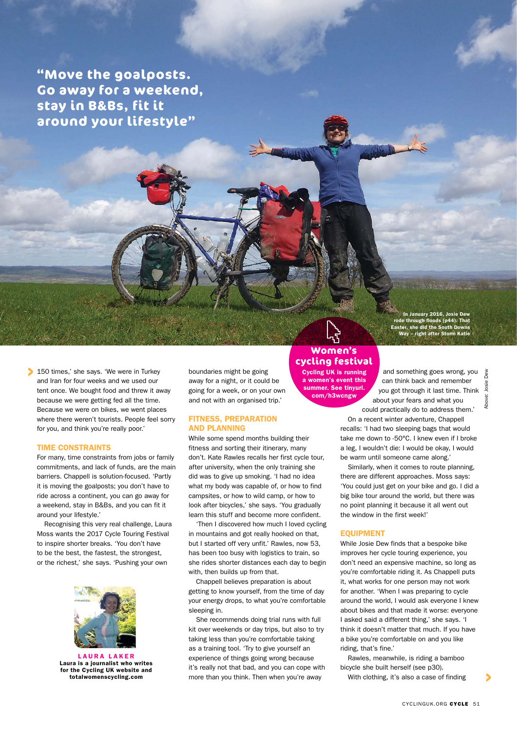**"Move the goalposts. Go away for a weekend, stay in B&Bs, fit it around your lifestyle"**

150 times,' she says. 'We were in Turkey and Iran for four weeks and we used our tent once. We bought food and threw it away because we were getting fed all the time. Because we were on bikes, we went places where there weren't tourists. People feel sorry for you, and think you're really poor.'

## TIME CONSTRAINTS

For many, time constraints from jobs or family commitments, and lack of funds, are the main barriers. Chappell is solution-focused. 'Partly it is moving the goalposts; you don't have to ride across a continent, you can go away for a weekend, stay in B&Bs, and you can fit it around your lifestyle.'

Recognising this very real challenge, Laura Moss wants the 2017 Cycle Touring Festival to inspire shorter breaks. 'You don't have to be the best, the fastest, the strongest, or the richest,' she says. 'Pushing your own



LAURA LAKER Laura is a journalist who writes for the Cycling UK website and totalwomenscycling.com

boundaries might be going away for a night, or it could be going for a week, or on your own and not with an organised trip.'

# FITNESS, PREPARATION AND PLANNING

While some spend months building their fitness and sorting their itinerary, many don't. Kate Rawles recalls her first cycle tour, after university, when the only training she did was to give up smoking. 'I had no idea what my body was capable of, or how to find campsites, or how to wild camp, or how to look after bicycles,' she says. 'You gradually learn this stuff and become more confident.

'Then I discovered how much I loved cycling in mountains and got really hooked on that, but I started off very unfit.' Rawles, now 53, has been too busy with logistics to train, so she rides shorter distances each day to begin with, then builds up from that.

Chappell believes preparation is about getting to know yourself, from the time of day your energy drops, to what you're comfortable sleeping in.

She recommends doing trial runs with full kit over weekends or day trips, but also to try taking less than you're comfortable taking as a training tool. 'Try to give yourself an experience of things going wrong because it's really not that bad, and you can cope with more than you think. Then when you're away

# **Women's cycling festival**

Cycling UK is running a women's event this summer. See tinyurl. com/h3wcngw

In January 2016, Josie Dew rode through floods (p44). That Easter, she did the South Downs Way – right after Storm Katie

and something goes wrong, you can think back and remember you got through it last time. Think about your fears and what you could practically do to address them.'

bew Above: Josie DewJosie Above:

On a recent winter adventure, Chappell recalls: 'I had two sleeping bags that would take me down to -50°C. I knew even if I broke a leg, I wouldn't die: I would be okay, I would be warm until someone came along.

Similarly, when it comes to route planning, there are different approaches. Moss says: 'You could just get on your bike and go. I did a big bike tour around the world, but there was no point planning it because it all went out the window in the first week!'

# EQUIPMENT

While Josie Dew finds that a bespoke bike improves her cycle touring experience, you don't need an expensive machine, so long as you're comfortable riding it. As Chappell puts it, what works for one person may not work for another. 'When I was preparing to cycle around the world, I would ask everyone I knew about bikes and that made it worse: everyone I asked said a different thing,' she says. 'I think it doesn't matter that much. If you have a bike you're comfortable on and you like riding, that's fine.'

Rawles, meanwhile, is riding a bamboo bicycle she built herself (see p30).

With clothing, it's also a case of finding